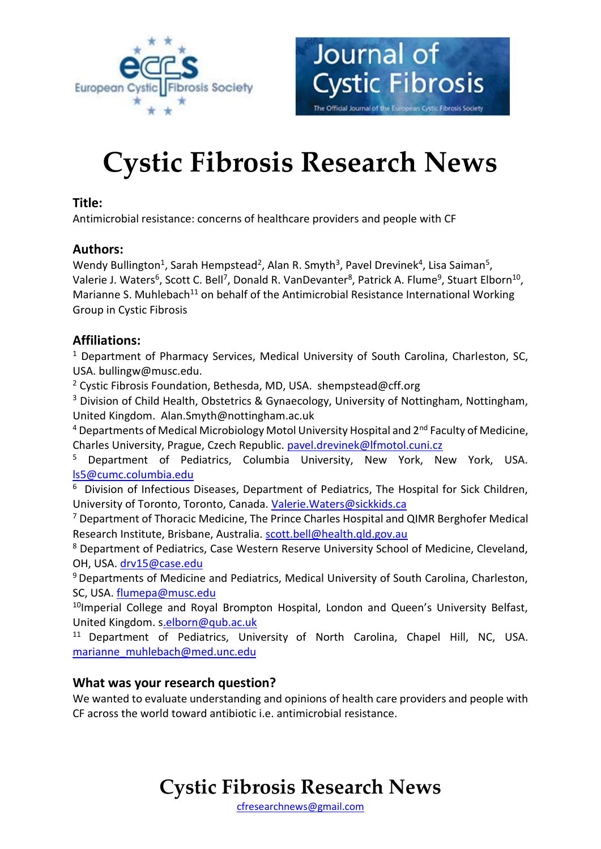

# **Cystic Fibrosis Research News**

Journal of

**Cystic Fibrosis** 

The Official Journal of the European Cystic Fibrosis Society

#### **Title:**

Antimicrobial resistance: concerns of healthcare providers and people with CF

#### **Authors:**

Wendy Bullington<sup>1</sup>, Sarah Hempstead<sup>2</sup>, Alan R. Smyth<sup>3</sup>, Pavel Drevinek<sup>4</sup>, Lisa Saiman<sup>5</sup>, Valerie J. Waters<sup>6</sup>, Scott C. Bell<sup>7</sup>, Donald R. VanDevanter<sup>8</sup>, Patrick A. Flume<sup>9</sup>, Stuart Elborn<sup>10</sup>, Marianne S. Muhlebach<sup>11</sup> on behalf of the Antimicrobial Resistance International Working Group in Cystic Fibrosis

#### **Affiliations:**

<sup>1</sup> Department of Pharmacy Services, Medical University of South Carolina, Charleston, SC, USA. bullingw@musc.edu.

<sup>2</sup> Cystic Fibrosis Foundation, Bethesda, MD, USA. shempstead@cff.org

<sup>3</sup> Division of Child Health, Obstetrics & Gynaecology, University of Nottingham, Nottingham, United Kingdom. Alan.Smyth@nottingham.ac.uk

 $4$  Departments of Medical Microbiology Motol University Hospital and  $2^{nd}$  Faculty of Medicine, Charles University, Prague, Czech Republic. [pavel.drevinek@lfmotol.cuni.cz](mailto:pavel.drevinek@lfmotol.cuni.cz)

<sup>5</sup> Department of Pediatrics, Columbia University, New York, New York, USA. [ls5@cumc.columbia.edu](mailto:ls5@cumc.columbia.edu)

<sup>6</sup> Division of Infectious Diseases, Department of Pediatrics, The Hospital for Sick Children, University of Toronto, Toronto, Canada[. Valerie.Waters@sickkids.ca](mailto:Valerie.Waters@sickkids.ca)

<sup>7</sup> Department of Thoracic Medicine, The Prince Charles Hospital and QIMR Berghofer Medical Research Institute, Brisbane, Australia. [scott.bell@health.qld.gov.au](mailto:scott.bell@health.qld.gov.au)

<sup>8</sup> Department of Pediatrics, Case Western Reserve University School of Medicine, Cleveland, OH, USA. [drv15@case.edu](mailto:drv15@case.edu)

<sup>9</sup> Departments of Medicine and Pediatrics, Medical University of South Carolina, Charleston, SC, USA. [flumepa@musc.edu](mailto:flumepa@musc.edu)

<sup>10</sup>Imperial College and Royal Brompton Hospital, London and Queen's University Belfast, United Kingdom. [s.elborn@qub.ac.uk](mailto:.elborn@qub.ac.uk)

<sup>11</sup> Department of Pediatrics, University of North Carolina, Chapel Hill, NC, USA. [marianne\\_muhlebach@med.unc.edu](mailto:marianne_muhlebach@med.unc.edu)

#### **What was your research question?**

We wanted to evaluate understanding and opinions of health care providers and people with CF across the world toward antibiotic i.e. antimicrobial resistance.

### **Cystic Fibrosis Research News**

[cfresearchnews@gmail.com](mailto:cfresearchnews@gmail.com)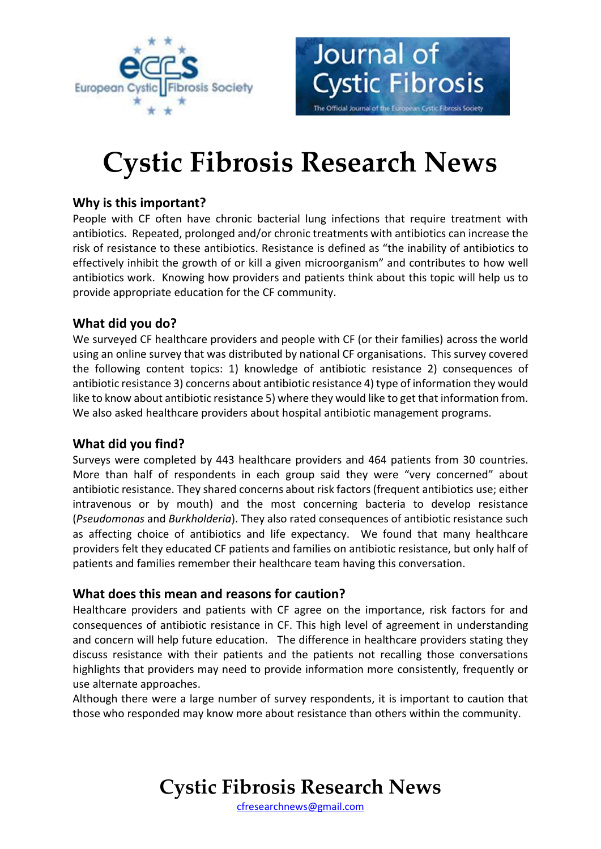



Journal of

**Cystic Fibrosis** 

The Official Journal of the European Cystic Fibrosis Society

#### **Why is this important?**

People with CF often have chronic bacterial lung infections that require treatment with antibiotics. Repeated, prolonged and/or chronic treatments with antibiotics can increase the risk of resistance to these antibiotics. Resistance is defined as "the inability of antibiotics to effectively inhibit the growth of or kill a given microorganism" and contributes to how well antibiotics work. Knowing how providers and patients think about this topic will help us to provide appropriate education for the CF community.

#### **What did you do?**

We surveyed CF healthcare providers and people with CF (or their families) across the world using an online survey that was distributed by national CF organisations. This survey covered the following content topics: 1) knowledge of antibiotic resistance 2) consequences of antibiotic resistance 3) concerns about antibiotic resistance 4) type of information they would like to know about antibiotic resistance 5) where they would like to get that information from. We also asked healthcare providers about hospital antibiotic management programs.

#### **What did you find?**

Surveys were completed by 443 healthcare providers and 464 patients from 30 countries. More than half of respondents in each group said they were "very concerned" about antibiotic resistance. They shared concerns about risk factors (frequent antibiotics use; either intravenous or by mouth) and the most concerning bacteria to develop resistance (*Pseudomonas* and *Burkholderia*). They also rated consequences of antibiotic resistance such as affecting choice of antibiotics and life expectancy. We found that many healthcare providers felt they educated CF patients and families on antibiotic resistance, but only half of patients and families remember their healthcare team having this conversation.

#### **What does this mean and reasons for caution?**

Healthcare providers and patients with CF agree on the importance, risk factors for and consequences of antibiotic resistance in CF. This high level of agreement in understanding and concern will help future education. The difference in healthcare providers stating they discuss resistance with their patients and the patients not recalling those conversations highlights that providers may need to provide information more consistently, frequently or use alternate approaches.

Although there were a large number of survey respondents, it is important to caution that those who responded may know more about resistance than others within the community.

**Cystic Fibrosis Research News**

[cfresearchnews@gmail.com](mailto:cfresearchnews@gmail.com)